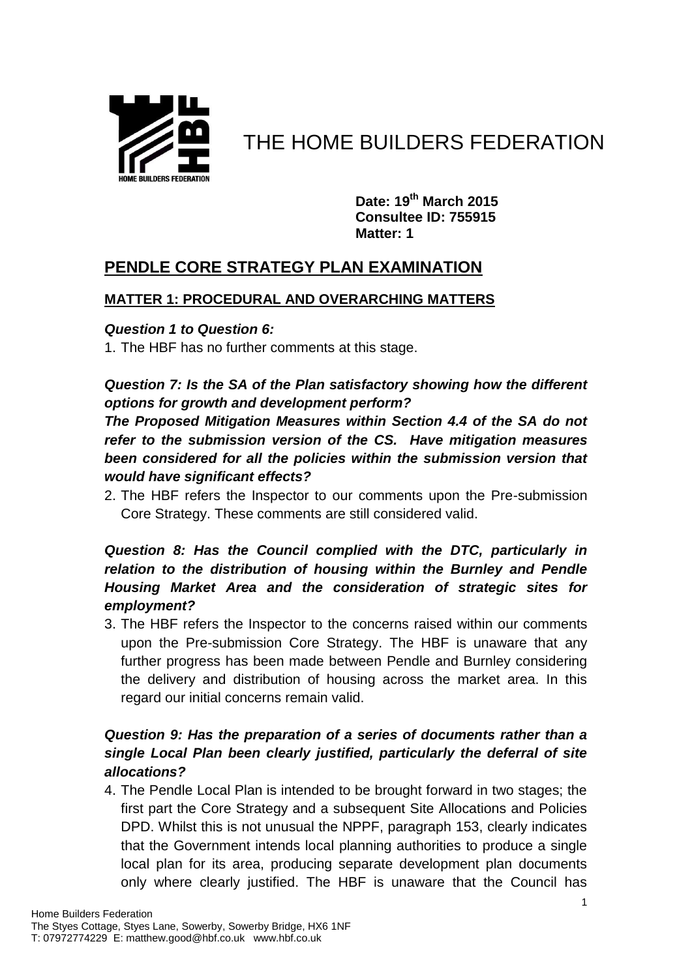

# THE HOME BUILDERS FEDERATION

**Date: 19th March 2015 Consultee ID: 755915 Matter: 1**

## **PENDLE CORE STRATEGY PLAN EXAMINATION**

#### **MATTER 1: PROCEDURAL AND OVERARCHING MATTERS**

#### *Question 1 to Question 6:*

1. The HBF has no further comments at this stage.

## *Question 7: Is the SA of the Plan satisfactory showing how the different options for growth and development perform?*

*The Proposed Mitigation Measures within Section 4.4 of the SA do not refer to the submission version of the CS. Have mitigation measures been considered for all the policies within the submission version that would have significant effects?*

2. The HBF refers the Inspector to our comments upon the Pre-submission Core Strategy. These comments are still considered valid.

### *Question 8: Has the Council complied with the DTC, particularly in relation to the distribution of housing within the Burnley and Pendle Housing Market Area and the consideration of strategic sites for employment?*

3. The HBF refers the Inspector to the concerns raised within our comments upon the Pre-submission Core Strategy. The HBF is unaware that any further progress has been made between Pendle and Burnley considering the delivery and distribution of housing across the market area. In this regard our initial concerns remain valid.

## *Question 9: Has the preparation of a series of documents rather than a single Local Plan been clearly justified, particularly the deferral of site allocations?*

4. The Pendle Local Plan is intended to be brought forward in two stages; the first part the Core Strategy and a subsequent Site Allocations and Policies DPD. Whilst this is not unusual the NPPF, paragraph 153, clearly indicates that the Government intends local planning authorities to produce a single local plan for its area, producing separate development plan documents only where clearly justified. The HBF is unaware that the Council has